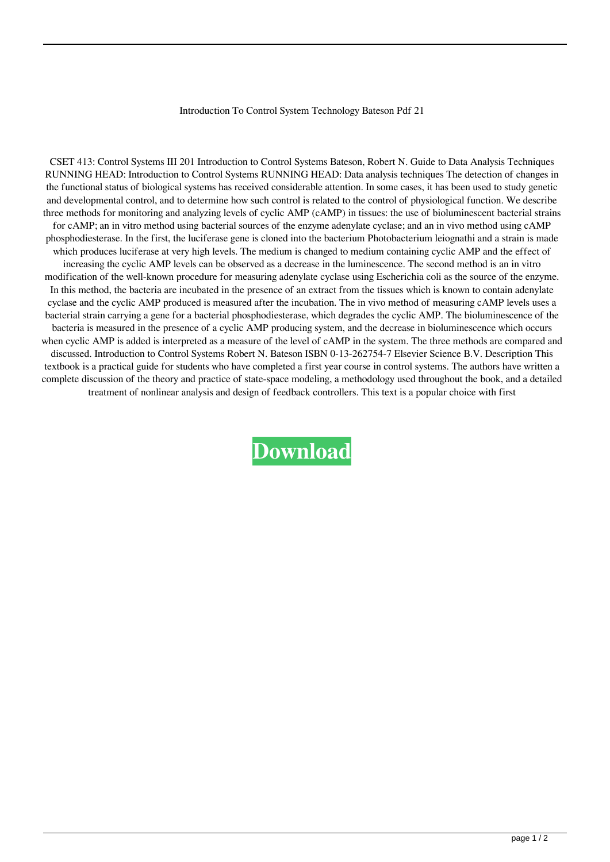## Introduction To Control System Technology Bateson Pdf 21

CSET 413: Control Systems III 201 Introduction to Control Systems Bateson, Robert N. Guide to Data Analysis Techniques RUNNING HEAD: Introduction to Control Systems RUNNING HEAD: Data analysis techniques The detection of changes in the functional status of biological systems has received considerable attention. In some cases, it has been used to study genetic and developmental control, and to determine how such control is related to the control of physiological function. We describe three methods for monitoring and analyzing levels of cyclic AMP (cAMP) in tissues: the use of bioluminescent bacterial strains for cAMP; an in vitro method using bacterial sources of the enzyme adenylate cyclase; and an in vivo method using cAMP phosphodiesterase. In the first, the luciferase gene is cloned into the bacterium Photobacterium leiognathi and a strain is made which produces luciferase at very high levels. The medium is changed to medium containing cyclic AMP and the effect of increasing the cyclic AMP levels can be observed as a decrease in the luminescence. The second method is an in vitro modification of the well-known procedure for measuring adenylate cyclase using Escherichia coli as the source of the enzyme. In this method, the bacteria are incubated in the presence of an extract from the tissues which is known to contain adenylate cyclase and the cyclic AMP produced is measured after the incubation. The in vivo method of measuring cAMP levels uses a bacterial strain carrying a gene for a bacterial phosphodiesterase, which degrades the cyclic AMP. The bioluminescence of the bacteria is measured in the presence of a cyclic AMP producing system, and the decrease in bioluminescence which occurs when cyclic AMP is added is interpreted as a measure of the level of cAMP in the system. The three methods are compared and discussed. Introduction to Control Systems Robert N. Bateson ISBN 0-13-262754-7 Elsevier Science B.V. Description This textbook is a practical guide for students who have completed a first year course in control systems. The authors have written a complete discussion of the theory and practice of state-space modeling, a methodology used throughout the book, and a detailed treatment of nonlinear analysis and design of feedback controllers. This text is a popular choice with first